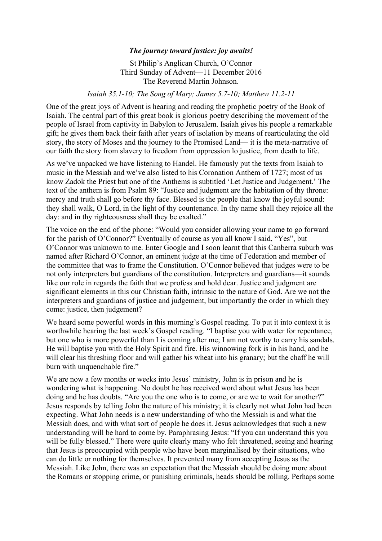## *The journey toward justice: joy awaits!*

St Philip's Anglican Church, O'Connor Third Sunday of Advent—11 December 2016 The Reverend Martin Johnson.

## *Isaiah 35.1-10; The Song of Mary; James 5.7-10; Matthew 11.2-11*

One of the great joys of Advent is hearing and reading the prophetic poetry of the Book of Isaiah. The central part of this great book is glorious poetry describing the movement of the people of Israel from captivity in Babylon to Jerusalem. Isaiah gives his people a remarkable gift; he gives them back their faith after years of isolation by means of rearticulating the old story, the story of Moses and the journey to the Promised Land— it is the meta-narrative of our faith the story from slavery to freedom from oppression lo justice, from death to life.

As we've unpacked we have listening to Handel. He famously put the texts from Isaiah to music in the Messiah and we've also listed to his Coronation Anthem of 1727; most of us know Zadok the Priest but one of the Anthems is subtitled 'Let Justice and Judgement.' The text of the anthem is from Psalm 89: "Justice and judgment are the habitation of thy throne: mercy and truth shall go before thy face. Blessed is the people that know the joyful sound: they shall walk, O Lord, in the light of thy countenance. In thy name shall they rejoice all the day: and in thy righteousness shall they be exalted."

The voice on the end of the phone: "Would you consider allowing your name to go forward for the parish of O'Connor?" Eventually of course as you all know I said, "Yes", but O'Connor was unknown to me. Enter Google and I soon learnt that this Canberra suburb was named after Richard O'Connor, an eminent judge at the time of Federation and member of the committee that was to frame the Constitution. O'Connor believed that judges were to be not only interpreters but guardians of the constitution. Interpreters and guardians—it sounds like our role in regards the faith that we profess and hold dear. Justice and judgment are significant elements in this our Christian faith, intrinsic to the nature of God. Are we not the interpreters and guardians of justice and judgement, but importantly the order in which they come: justice, then judgement?

We heard some powerful words in this morning's Gospel reading. To put it into context it is worthwhile hearing the last week's Gospel reading. "I baptise you with water for repentance, but one who is more powerful than I is coming after me; I am not worthy to carry his sandals. He will baptise you with the Holy Spirit and fire. His winnowing fork is in his hand, and he will clear his threshing floor and will gather his wheat into his granary; but the chaff he will burn with unquenchable fire."

We are now a few months or weeks into Jesus' ministry, John is in prison and he is wondering what is happening. No doubt he has received word about what Jesus has been doing and he has doubts. "Are you the one who is to come, or are we to wait for another?" Jesus responds by telling John the nature of his ministry; it is clearly not what John had been expecting. What John needs is a new understanding of who the Messiah is and what the Messiah does, and with what sort of people he does it. Jesus acknowledges that such a new understanding will be hard to come by. Paraphrasing Jesus: "If you can understand this you will be fully blessed." There were quite clearly many who felt threatened, seeing and hearing that Jesus is preoccupied with people who have been marginalised by their situations, who can do little or nothing for themselves. It prevented many from accepting Jesus as the Messiah. Like John, there was an expectation that the Messiah should be doing more about the Romans or stopping crime, or punishing criminals, heads should be rolling. Perhaps some